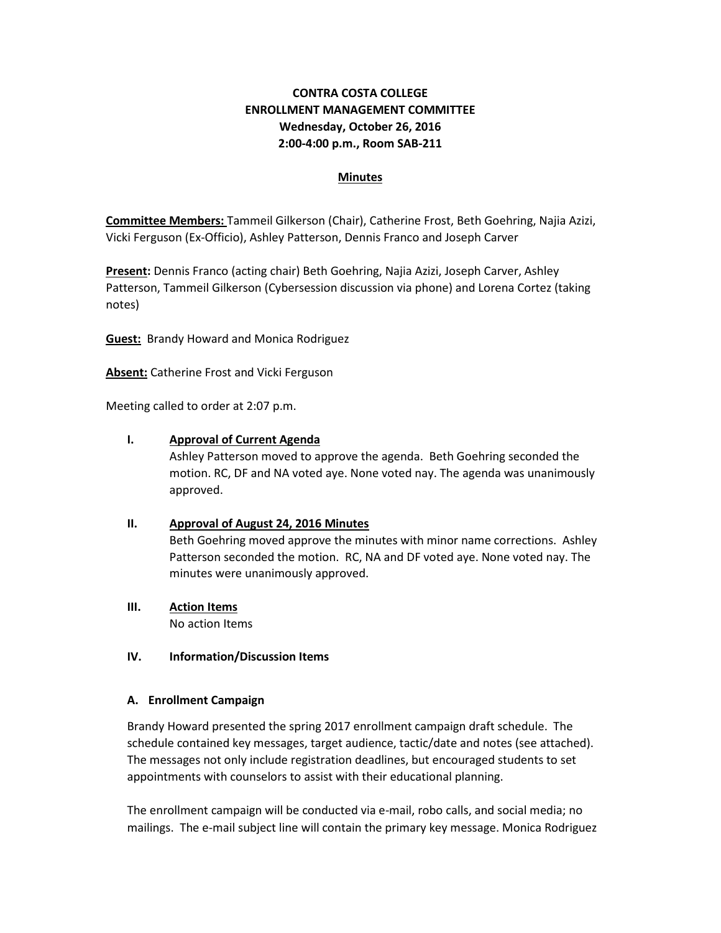# **CONTRA COSTA COLLEGE ENROLLMENT MANAGEMENT COMMITTEE Wednesday, October 26, 2016 2:00-4:00 p.m., Room SAB-211**

#### **Minutes**

**Committee Members:** Tammeil Gilkerson (Chair), Catherine Frost, Beth Goehring, Najia Azizi, Vicki Ferguson (Ex-Officio), Ashley Patterson, Dennis Franco and Joseph Carver

**Present:** Dennis Franco (acting chair) Beth Goehring, Najia Azizi, Joseph Carver, Ashley Patterson, Tammeil Gilkerson (Cybersession discussion via phone) and Lorena Cortez (taking notes)

**Guest:** Brandy Howard and Monica Rodriguez

**Absent:** Catherine Frost and Vicki Ferguson

Meeting called to order at 2:07 p.m.

#### **I. Approval of Current Agenda**

Ashley Patterson moved to approve the agenda. Beth Goehring seconded the motion. RC, DF and NA voted aye. None voted nay. The agenda was unanimously approved.

### **II. Approval of August 24, 2016 Minutes**

Beth Goehring moved approve the minutes with minor name corrections. Ashley Patterson seconded the motion. RC, NA and DF voted aye. None voted nay. The minutes were unanimously approved.

**III. Action Items** No action Items

#### **IV. Information/Discussion Items**

#### **A. Enrollment Campaign**

Brandy Howard presented the spring 2017 enrollment campaign draft schedule. The schedule contained key messages, target audience, tactic/date and notes (see attached). The messages not only include registration deadlines, but encouraged students to set appointments with counselors to assist with their educational planning.

The enrollment campaign will be conducted via e-mail, robo calls, and social media; no mailings. The e-mail subject line will contain the primary key message. Monica Rodriguez